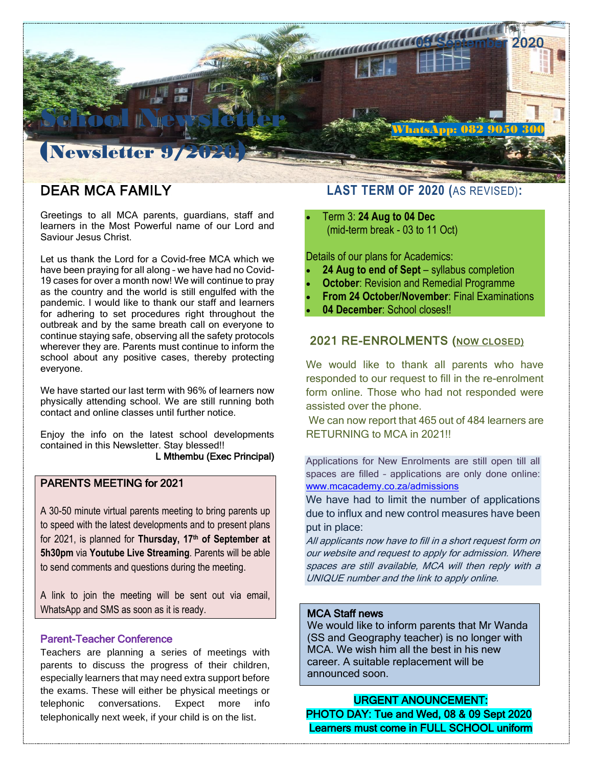

# DEAR MCA FAMILY

Greetings to all MCA parents, guardians, staff and learners in the Most Powerful name of our Lord and Saviour Jesus Christ.

Let us thank the Lord for a Covid-free MCA which we have been praying for all along – we have had no Covid-19 cases for over a month now! We will continue to pray as the country and the world is still engulfed with the pandemic. I would like to thank our staff and learners for adhering to set procedures right throughout the outbreak and by the same breath call on everyone to continue staying safe, observing all the safety protocols wherever they are. Parents must continue to inform the school about any positive cases, thereby protecting everyone.

We have started our last term with 96% of learners now physically attending school. We are still running both contact and online classes until further notice.

Enjoy the info on the latest school developments contained in this Newsletter. Stay blessed!! L Mthembu (Exec Principal)

### PARENTS MEETING for 2021

A 30-50 minute virtual parents meeting to bring parents up to speed with the latest developments and to present plans for 2021, is planned for **Thursday, 17th of September at 5h30pm** via **Youtube Live Streaming**. Parents will be able to send comments and questions during the meeting.

A link to join the meeting will be sent out via email, WhatsApp and SMS as soon as it is ready.

#### Parent-Teacher Conference

Teachers are planning a series of meetings with parents to discuss the progress of their children, especially learners that may need extra support before the exams. These will either be physical meetings or telephonic conversations. Expect more info telephonically next week, if your child is on the list.

## **LAST TERM OF 2020 (**AS REVISED)**:**

 Term 3: **24 Aug to 04 Dec** (mid-term break - 03 to 11 Oct)

Details of our plans for Academics:

- **24 Aug to end of Sept** syllabus completion
- **October: Revision and Remedial Programme**
- **From 24 October/November**: Final Examinations
- **04 December**: School closes!!

### 2021 RE-ENROLMENTS (NOW CLOSED)

We would like to thank all parents who have responded to our request to fill in the re-enrolment form online. Those who had not responded were assisted over the phone.

We can now report that 465 out of 484 learners are RETURNING to MCA in 2021!!

Applications for New Enrolments are still open till all spaces are filled – applications are only done online: [www.mcacademy.co.za/admissions](http://www.mcacademy.co.za/admissions)

We have had to limit the number of applications due to influx and new control measures have been put in place:

All applicants now have to fill in a short request form on our website and request to apply for admission. Where spaces are still available, MCA will then reply with a UNIQUE number and the link to apply online.

## MCA Staff news

j

**EXECUTE CONFIDENTS IN A THE WARDER**<br>(SS and Geography teacher) is no longer with NCA. We wish him all the best in his new career. A suitable replacement will be announced soon.We would like to inform parents that Mr Wanda

URGENT ANOUNCEMENT: PHOTO DAY: Tue and Wed, 08 & 09 Sept 2020 Learners must come in FULL SCHOOL uniform